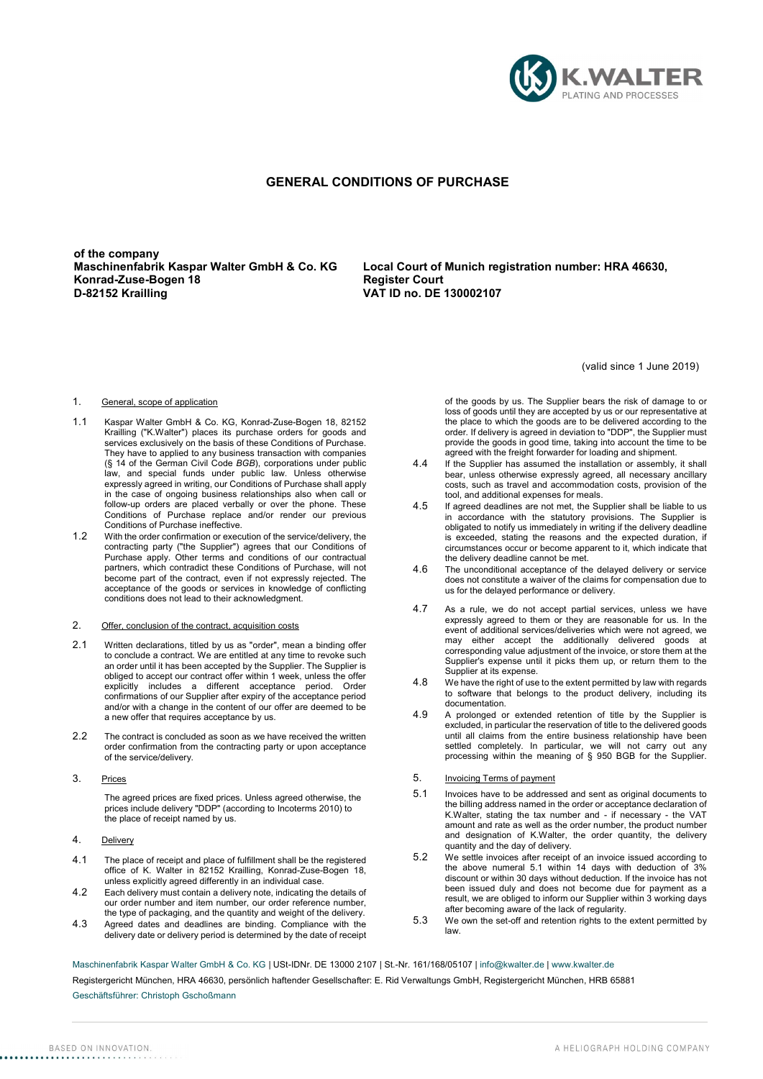

# GENERAL CONDITIONS OF PURCHASE

of the company<br>Maschinenfabrik Kaspar Walter GmbH & Co. KG Konrad-Zuse-Bogen 18 Register Court D-82152 Krailling VAT ID no. DE 130002107

Local Court of Munich registration number: HRA 46630,

(valid since 1 June 2019)

### 1. General, scope of application

- 1.1 Kaspar Walter GmbH & Co. KG, Konrad-Zuse-Bogen 18, 82152 Krailling ("K.Walter") places its purchase orders for goods and services exclusively on the basis of these Conditions of Purchase. They have to applied to any business transaction with companies (§ 14 of the German Civil Code BGB), corporations under public law, and special funds under public law. Unless otherwise expressly agreed in writing, our Conditions of Purchase shall apply in the case of ongoing business relationships also when call or follow-up orders are placed verbally or over the phone. These Conditions of Purchase replace and/or render our previous Conditions of Purchase ineffective.
- 1.2 With the order confirmation or execution of the service/delivery, the contracting party ("the Supplier") agrees that our Conditions of Purchase apply. Other terms and conditions of our contractual partners, which contradict these Conditions of Purchase, will not become part of the contract, even if not expressly rejected. The acceptance of the goods or services in knowledge of conflicting conditions does not lead to their acknowledgment.
- 2. Offer, conclusion of the contract, acquisition costs
- 2.1 Written declarations, titled by us as "order", mean a binding offer to conclude a contract. We are entitled at any time to revoke such an order until it has been accepted by the Supplier. The Supplier is obliged to accept our contract offer within 1 week, unless the offer explicitly includes a different acceptance period. Order confirmations of our Supplier after expiry of the acceptance period and/or with a change in the content of our offer are deemed to be a new offer that requires acceptance by us.
- 2.2 The contract is concluded as soon as we have received the written order confirmation from the contracting party or upon acceptance of the service/delivery.
- 3. Prices

The agreed prices are fixed prices. Unless agreed otherwise, the prices include delivery "DDP" (according to Incoterms 2010) to the place of receipt named by us.

- 4. Delivery
- 4.1 The place of receipt and place of fulfillment shall be the registered office of K. Walter in 82152 Krailling, Konrad-Zuse-Bogen 18, unless explicitly agreed differently in an individual case.
- 4.2 Each delivery must contain a delivery note, indicating the details of our order number and item number, our order reference number, the type of packaging, and the quantity and weight of the delivery.
- 4.3 Agreed dates and deadlines are binding. Compliance with the delivery date or delivery period is determined by the date of receipt

of the goods by us. The Supplier bears the risk of damage to or loss of goods until they are accepted by us or our representative at the place to which the goods are to be delivered according to the order. If delivery is agreed in deviation to "DDP", the Supplier must provide the goods in good time, taking into account the time to be agreed with the freight forwarder for loading and shipment.

- 4.4 If the Supplier has assumed the installation or assembly, it shall bear, unless otherwise expressly agreed, all necessary ancillary costs, such as travel and accommodation costs, provision of the tool, and additional expenses for meals.
- 4.5 If agreed deadlines are not met, the Supplier shall be liable to us in accordance with the statutory provisions. The Supplier is obligated to notify us immediately in writing if the delivery deadline is exceeded, stating the reasons and the expected duration, if circumstances occur or become apparent to it, which indicate that the delivery deadline cannot be met.
- 4.6 The unconditional acceptance of the delayed delivery or service does not constitute a waiver of the claims for compensation due to us for the delayed performance or delivery.
- 4.7 As a rule, we do not accept partial services, unless we have expressly agreed to them or they are reasonable for us. In the event of additional services/deliveries which were not agreed, we may either accept the additionally delivered goods at corresponding value adjustment of the invoice, or store them at the Supplier's expense until it picks them up, or return them to the Supplier at its expense.
- 4.8 We have the right of use to the extent permitted by law with regards to software that belongs to the product delivery, including its documentation.
- 4.9 A prolonged or extended retention of title by the Supplier is excluded, in particular the reservation of title to the delivered goods until all claims from the entire business relationship have been settled completely. In particular, we will not carry out any processing within the meaning of § 950 BGB for the Supplier.
- 5. Invoicing Terms of payment
- 5.1 Invoices have to be addressed and sent as original documents to the billing address named in the order or acceptance declaration of K.Walter, stating the tax number and - if necessary - the VAT amount and rate as well as the order number, the product number and designation of K.Walter, the order quantity, the delivery quantity and the day of delivery.
- 5.2 We settle invoices after receipt of an invoice issued according to the above numeral 5.1 within 14 days with deduction of 3% discount or within 30 days without deduction. If the invoice has not been issued duly and does not become due for payment as a result, we are obliged to inform our Supplier within 3 working days after becoming aware of the lack of regularity.
- 5.3 We own the set-off and retention rights to the extent permitted by law.

Maschinenfabrik Kaspar Walter GmbH & Co. KG | USt-IDNr. DE 13000 2107 | St.-Nr. 161/168/05107 | info@kwalter.de | www.kwalter.de

Registergericht München, HRA 46630, persönlich haftender Gesellschafter: E. Rid Verwaltungs GmbH, Registergericht München, HRB 65881

Geschäftsführer: Christoph Gschoßmann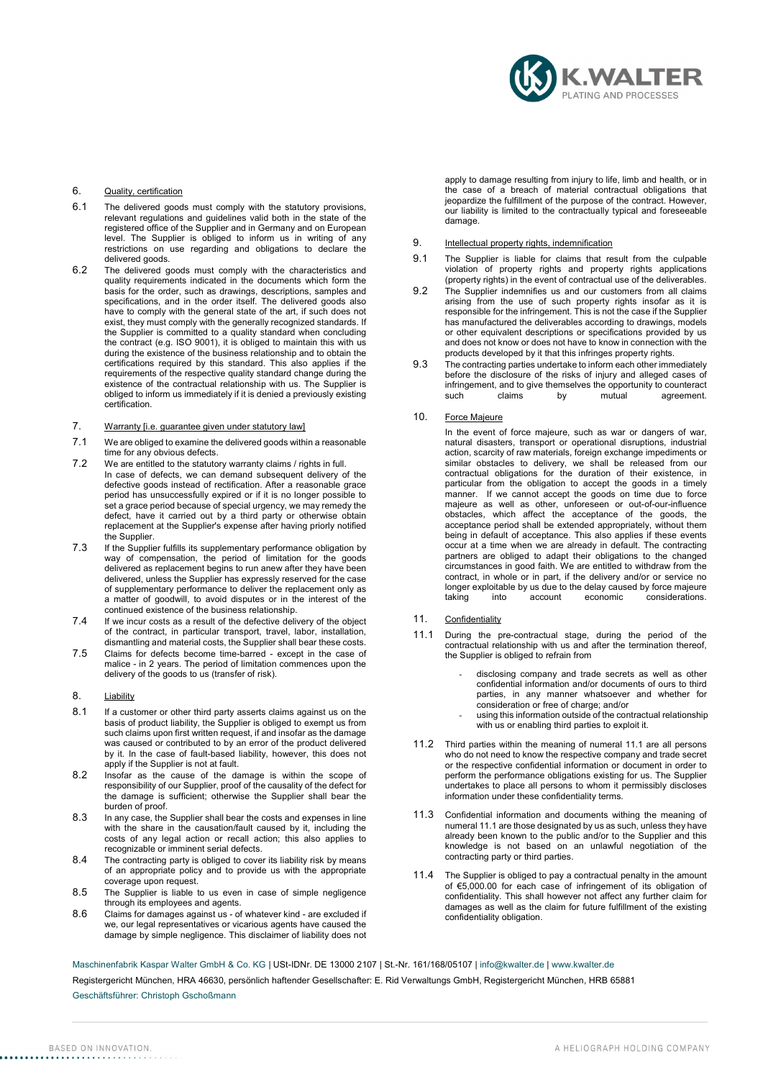

# 6. Quality, certification

- 6.1 The delivered goods must comply with the statutory provisions, relevant regulations and guidelines valid both in the state of the registered office of the Supplier and in Germany and on European level. The Supplier is obliged to inform us in writing of any restrictions on use regarding and obligations to declare the delivered goods.
- 6.2 The delivered goods must comply with the characteristics and quality requirements indicated in the documents which form the basis for the order, such as drawings, descriptions, samples and specifications, and in the order itself. The delivered goods also have to comply with the general state of the art, if such does not exist, they must comply with the generally recognized standards. If the Supplier is committed to a quality standard when concluding the contract (e.g. ISO 9001), it is obliged to maintain this with us during the existence of the business relationship and to obtain the certifications required by this standard. This also applies if the requirements of the respective quality standard change during the existence of the contractual relationship with us. The Supplier is obliged to inform us immediately if it is denied a previously existing certification.

# 7. Warranty [i.e. guarantee given under statutory law]

- 7.1 We are obliged to examine the delivered goods within a reasonable time for any obvious defects.
- 7.2 We are entitled to the statutory warranty claims / rights in full. In case of defects, we can demand subsequent delivery of the defective goods instead of rectification. After a reasonable grace period has unsuccessfully expired or if it is no longer possible to set a grace period because of special urgency, we may remedy the defect, have it carried out by a third party or otherwise obtain replacement at the Supplier's expense after having priorly notified the Supplier.
- 7.3 If the Supplier fulfills its supplementary performance obligation by way of compensation, the period of limitation for the goods delivered as replacement begins to run anew after they have been delivered, unless the Supplier has expressly reserved for the case of supplementary performance to deliver the replacement only as a matter of goodwill, to avoid disputes or in the interest of the continued existence of the business relationship.
- 7.4 If we incur costs as a result of the defective delivery of the object of the contract, in particular transport, travel, labor, installation, dismantling and material costs, the Supplier shall bear these costs.
- 7.5 Claims for defects become time-barred except in the case of malice - in 2 years. The period of limitation commences upon the delivery of the goods to us (transfer of risk).

# 8. Liability

- 8.1 If a customer or other third party asserts claims against us on the basis of product liability, the Supplier is obliged to exempt us from such claims upon first written request, if and insofar as the damage was caused or contributed to by an error of the product delivered by it. In the case of fault-based liability, however, this does not apply if the Supplier is not at fault.
- 8.2 Insofar as the cause of the damage is within the scope of responsibility of our Supplier, proof of the causality of the defect for the damage is sufficient; otherwise the Supplier shall bear the burden of proof.
- 8.3 In any case, the Supplier shall bear the costs and expenses in line with the share in the causation/fault caused by it, including the costs of any legal action or recall action; this also applies to recognizable or imminent serial defects.
- 8.4 The contracting party is obliged to cover its liability risk by means of an appropriate policy and to provide us with the appropriate coverage upon request.
- 8.5 The Supplier is liable to us even in case of simple negligence through its employees and agents.
- 8.6 Claims for damages against us of whatever kind are excluded if we, our legal representatives or vicarious agents have caused the damage by simple negligence. This disclaimer of liability does not

apply to damage resulting from injury to life, limb and health, or in the case of a breach of material contractual obligations that jeopardize the fulfillment of the purpose of the contract. However, our liability is limited to the contractually typical and foreseeable damage.

## 9. Intellectual property rights, indemnification

- 9.1 The Supplier is liable for claims that result from the culpable violation of property rights and property rights applications (property rights) in the event of contractual use of the deliverables.
- 9.2 The Supplier indemnifies us and our customers from all claims arising from the use of such property rights insofar as it is responsible for the infringement. This is not the case if the Supplier has manufactured the deliverables according to drawings, models or other equivalent descriptions or specifications provided by us and does not know or does not have to know in connection with the products developed by it that this infringes property rights.
- 9.3 The contracting parties undertake to inform each other immediately before the disclosure of the risks of injury and alleged cases of infringement, and to give themselves the opportunity to counteract<br>such claims by mutual agreement. agreement.

#### 10. Force Majeure

In the event of force majeure, such as war or dangers of war, natural disasters, transport or operational disruptions, industrial action, scarcity of raw materials, foreign exchange impediments or similar obstacles to delivery, we shall be released from our contractual obligations for the duration of their existence, in particular from the obligation to accept the goods in a timely manner. If we cannot accept the goods on time due to force majeure as well as other, unforeseen or out-of-our-influence obstacles, which affect the acceptance of the goods, the acceptance period shall be extended appropriately, without them being in default of acceptance. This also applies if these events occur at a time when we are already in default. The contracting partners are obliged to adapt their obligations to the changed circumstances in good faith. We are entitled to withdraw from the contract, in whole or in part, if the delivery and/or or service no longer exploitable by us due to the delay caused by force majeure .<br>considerations.

#### 11. Confidentiality

- 11.1 During the pre-contractual stage, during the period of the contractual relationship with us and after the termination thereof, the Supplier is obliged to refrain from
	- disclosing company and trade secrets as well as other confidential information and/or documents of ours to third parties, in any manner whatsoever and whether for consideration or free of charge; and/or
	- using this information outside of the contractual relationship with us or enabling third parties to exploit it.
- 11.2 Third parties within the meaning of numeral 11.1 are all persons who do not need to know the respective company and trade secret or the respective confidential information or document in order to perform the performance obligations existing for us. The Supplier undertakes to place all persons to whom it permissibly discloses information under these confidentiality terms.
- 11.3 Confidential information and documents withing the meaning of numeral 11.1 are those designated by us as such, unless they have already been known to the public and/or to the Supplier and this knowledge is not based on an unlawful negotiation of the contracting party or third parties.
- 11.4 The Supplier is obliged to pay a contractual penalty in the amount of €5,000.00 for each case of infringement of its obligation of confidentiality. This shall however not affect any further claim for damages as well as the claim for future fulfillment of the existing confidentiality obligation.

Maschinenfabrik Kaspar Walter GmbH & Co. KG | USt-IDNr. DE 13000 2107 | St.-Nr. 161/168/05107 | info@kwalter.de | www.kwalter.de

Registergericht München, HRA 46630, persönlich haftender Gesellschafter: E. Rid Verwaltungs GmbH, Registergericht München, HRB 65881

#### Geschäftsführer: Christoph Gschoßmann